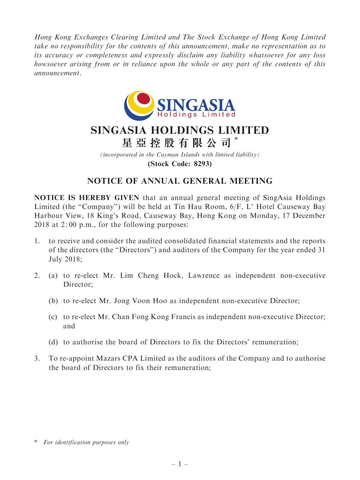Hong Kong Exchanges Clearing Limited and The Stock Exchange of Hong Kong Limited take no responsibility for the contents of this announcement, make no representation as to its accuracy or completeness and expressly disclaim any liability whatsoever for any loss howsoever arising from or in reliance upon the whole or any part of the contents of this announcement.



# SINGASIA HOLDINGS LIMITED 星 亞 控 股 有 限 公 司 \*

(incorporated in the Cayman Islands with limited liability) (Stock Code: 8293)

## NOTICE OF ANNUAL GENERAL MEETING

NOTICE IS HEREBY GIVEN that an annual general meeting of SingAsia Holdings Limited (the "Company") will be held at Tin Hau Room,  $6/F$ , L' Hotel Causeway Bay Harbour View, 18 King's Road, Causeway Bay, Hong Kong on Monday, 17 December 2018 at 2: 00 p.m., for the following purposes:

- 1. to receive and consider the audited consolidated financial statements and the reports of the directors (the ''Directors'') and auditors of the Company for the year ended 31 July 2018;
- 2. (a) to re-elect Mr. Lim Cheng Hock, Lawrence as independent non-executive Director:
	- (b) to re-elect Mr. Jong Voon Hoo as independent non-executive Director;
	- (c) to re-elect Mr. Chan Fong Kong Francis as independent non-executive Director; and
	- (d) to authorise the board of Directors to fix the Directors' remuneration;
- 3. To re-appoint Mazars CPA Limited as the auditors of the Company and to authorise the board of Directors to fix their remuneration;

<sup>\*</sup> For identification purposes only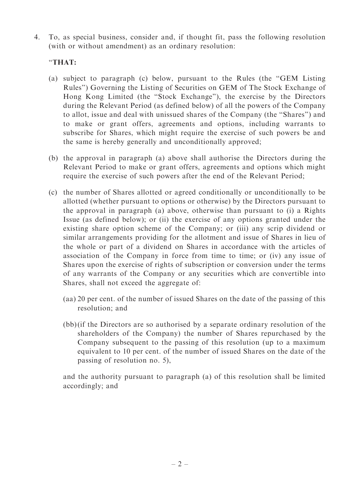4. To, as special business, consider and, if thought fit, pass the following resolution (with or without amendment) as an ordinary resolution:

#### ''THAT:

- (a) subject to paragraph (c) below, pursuant to the Rules (the ''GEM Listing Rules'') Governing the Listing of Securities on GEM of The Stock Exchange of Hong Kong Limited (the ''Stock Exchange''), the exercise by the Directors during the Relevant Period (as defined below) of all the powers of the Company to allot, issue and deal with unissued shares of the Company (the ''Shares'') and to make or grant offers, agreements and options, including warrants to subscribe for Shares, which might require the exercise of such powers be and the same is hereby generally and unconditionally approved;
- (b) the approval in paragraph (a) above shall authorise the Directors during the Relevant Period to make or grant offers, agreements and options which might require the exercise of such powers after the end of the Relevant Period;
- (c) the number of Shares allotted or agreed conditionally or unconditionally to be allotted (whether pursuant to options or otherwise) by the Directors pursuant to the approval in paragraph (a) above, otherwise than pursuant to (i) a Rights Issue (as defined below); or (ii) the exercise of any options granted under the existing share option scheme of the Company; or (iii) any scrip dividend or similar arrangements providing for the allotment and issue of Shares in lieu of the whole or part of a dividend on Shares in accordance with the articles of association of the Company in force from time to time; or (iv) any issue of Shares upon the exercise of rights of subscription or conversion under the terms of any warrants of the Company or any securities which are convertible into Shares, shall not exceed the aggregate of:
	- (aa) 20 per cent. of the number of issued Shares on the date of the passing of this resolution; and
	- (bb) (if the Directors are so authorised by a separate ordinary resolution of the shareholders of the Company) the number of Shares repurchased by the Company subsequent to the passing of this resolution (up to a maximum equivalent to 10 per cent. of the number of issued Shares on the date of the passing of resolution no. 5),

and the authority pursuant to paragraph (a) of this resolution shall be limited accordingly; and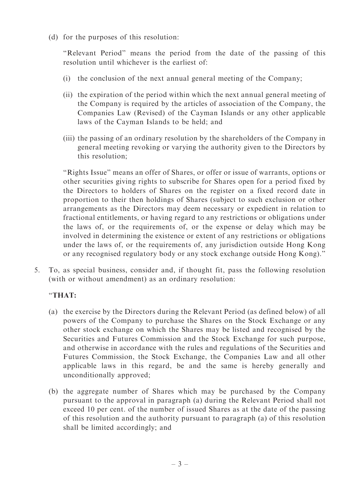(d) for the purposes of this resolution:

"Relevant Period" means the period from the date of the passing of this resolution until whichever is the earliest of:

- (i) the conclusion of the next annual general meeting of the Company;
- (ii) the expiration of the period within which the next annual general meeting of the Company is required by the articles of association of the Company, the Companies Law (Revised) of the Cayman Islands or any other applicable laws of the Cayman Islands to be held; and
- (iii) the passing of an ordinary resolution by the shareholders of the Company in general meeting revoking or varying the authority given to the Directors by this resolution;

''Rights Issue'' means an offer of Shares, or offer or issue of warrants, options or other securities giving rights to subscribe for Shares open for a period fixed by the Directors to holders of Shares on the register on a fixed record date in proportion to their then holdings of Shares (subject to such exclusion or other arrangements as the Directors may deem necessary or expedient in relation to fractional entitlements, or having regard to any restrictions or obligations under the laws of, or the requirements of, or the expense or delay which may be involved in determining the existence or extent of any restrictions or obligations under the laws of, or the requirements of, any jurisdiction outside Hong Kong or any recognised regulatory body or any stock exchange outside Hong Kong).''

5. To, as special business, consider and, if thought fit, pass the following resolution (with or without amendment) as an ordinary resolution:

### ''THAT:

- (a) the exercise by the Directors during the Relevant Period (as defined below) of all powers of the Company to purchase the Shares on the Stock Exchange or any other stock exchange on which the Shares may be listed and recognised by the Securities and Futures Commission and the Stock Exchange for such purpose, and otherwise in accordance with the rules and regulations of the Securities and Futures Commission, the Stock Exchange, the Companies Law and all other applicable laws in this regard, be and the same is hereby generally and unconditionally approved;
- (b) the aggregate number of Shares which may be purchased by the Company pursuant to the approval in paragraph (a) during the Relevant Period shall not exceed 10 per cent. of the number of issued Shares as at the date of the passing of this resolution and the authority pursuant to paragraph (a) of this resolution shall be limited accordingly; and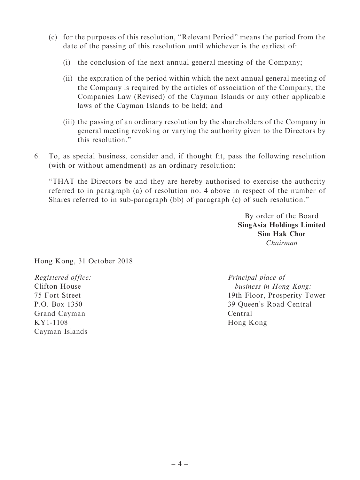- (c) for the purposes of this resolution, ''Relevant Period'' means the period from the date of the passing of this resolution until whichever is the earliest of:
	- (i) the conclusion of the next annual general meeting of the Company;
	- (ii) the expiration of the period within which the next annual general meeting of the Company is required by the articles of association of the Company, the Companies Law (Revised) of the Cayman Islands or any other applicable laws of the Cayman Islands to be held; and
	- (iii) the passing of an ordinary resolution by the shareholders of the Company in general meeting revoking or varying the authority given to the Directors by this resolution.''
- 6. To, as special business, consider and, if thought fit, pass the following resolution (with or without amendment) as an ordinary resolution:

''THAT the Directors be and they are hereby authorised to exercise the authority referred to in paragraph (a) of resolution no. 4 above in respect of the number of Shares referred to in sub-paragraph (bb) of paragraph (c) of such resolution.''

> By order of the Board SingAsia Holdings Limited Sim Hak Chor Chairman

Hong Kong, 31 October 2018

Registered office: Clifton House 75 Fort Street P.O. Box 1350 Grand Cayman KY1-1108 Cayman Islands

Principal place of business in Hong Kong: 19th Floor, Prosperity Tower 39 Queen's Road Central Central Hong Kong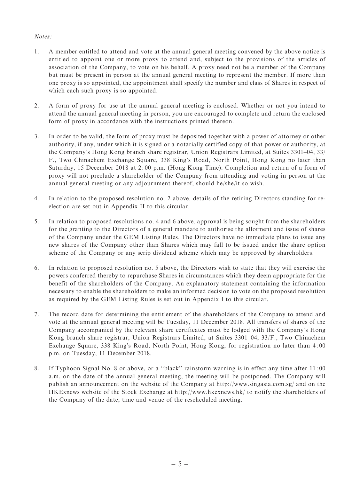#### Notes:

- 1. A member entitled to attend and vote at the annual general meeting convened by the above notice is entitled to appoint one or more proxy to attend and, subject to the provisions of the articles of association of the Company, to vote on his behalf. A proxy need not be a member of the Company but must be present in person at the annual general meeting to represent the member. If more than one proxy is so appointed, the appointment shall specify the number and class of Shares in respect of which each such proxy is so appointed.
- 2. A form of proxy for use at the annual general meeting is enclosed. Whether or not you intend to attend the annual general meeting in person, you are encouraged to complete and return the enclosed form of proxy in accordance with the instructions printed thereon.
- 3. In order to be valid, the form of proxy must be deposited together with a power of attorney or other authority, if any, under which it is signed or a notarially certified copy of that power or authority, at the Company's Hong Kong branch share registrar, Union Registrars Limited, at Suites 3301–04, 33/ F., Two Chinachem Exchange Square, 338 King's Road, North Point, Hong Kong no later than Saturday, 15 December 2018 at 2: 00 p.m. (Hong Kong Time). Completion and return of a form of proxy will not preclude a shareholder of the Company from attending and voting in person at the annual general meeting or any adjournment thereof, should he/she/it so wish.
- 4. In relation to the proposed resolution no. 2 above, details of the retiring Directors standing for reelection are set out in Appendix II to this circular.
- 5. In relation to proposed resolutions no. 4 and 6 above, approval is being sought from the shareholders for the granting to the Directors of a general mandate to authorise the allotment and issue of shares of the Company under the GEM Listing Rules. The Directors have no immediate plans to issue any new shares of the Company other than Shares which may fall to be issued under the share option scheme of the Company or any scrip dividend scheme which may be approved by shareholders.
- 6. In relation to proposed resolution no. 5 above, the Directors wish to state that they will exercise the powers conferred thereby to repurchase Shares in circumstances which they deem appropriate for the benefit of the shareholders of the Company. An explanatory statement containing the information necessary to enable the shareholders to make an informed decision to vote on the proposed resolution as required by the GEM Listing Rules is set out in Appendix I to this circular.
- 7. The record date for determining the entitlement of the shareholders of the Company to attend and vote at the annual general meeting will be Tuesday, 11 December 2018. All transfers of shares of the Company accompanied by the relevant share certificates must be lodged with the Company's Hong Kong branch share registrar, Union Registrars Limited, at Suites 3301–04, 33/F., Two Chinachem Exchange Square, 338 King's Road, North Point, Hong Kong, for registration no later than 4: 00 p.m. on Tuesday, 11 December 2018.
- 8. If Typhoon Signal No. 8 or above, or a "black" rainstorm warning is in effect any time after 11:00 a.m. on the date of the annual general meeting, the meeting will be postponed. The Company will publish an announcement on the website of the Company at http://www.singasia.com.sg/ and on the HKExnews website of the Stock Exchange at http://www.hkexnews.hk/ to notify the shareholders of the Company of the date, time and venue of the rescheduled meeting.